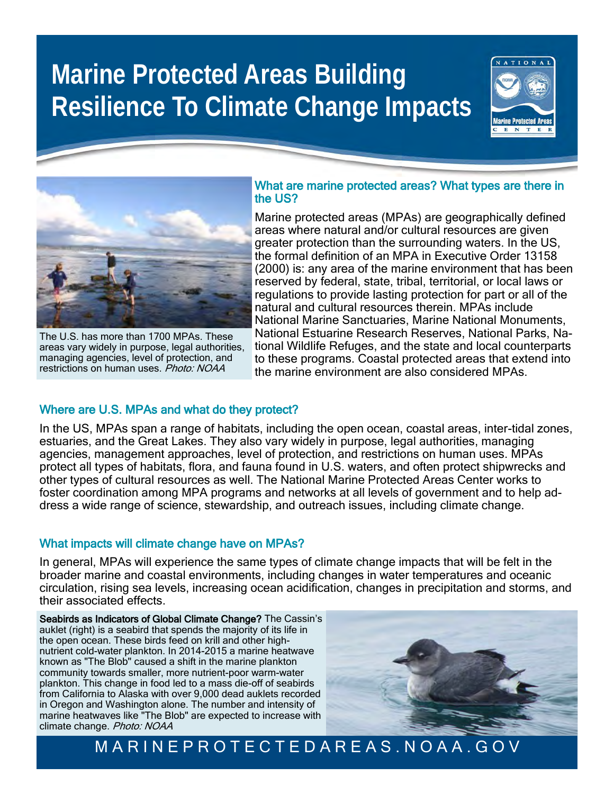# **Marine Protected Areas Building Resilience To Climate Change Impacts**





The U.S. has more than 1700 MPAs. These areas vary widely in purpose, legal authorities, managing agencies, level of protection, and restrictions on human uses. Photo: NOAA

#### What are marine protected areas? What types are there in the US?

Marine protected areas (MPAs) are geographically defined areas where natural and/or cultural resources are given greater protection than the surrounding waters. In the US, the formal definition of an MPA in Executive Order 13158 (2000) is: any area of the marine environment that has been reserved by federal, state, tribal, territorial, or local laws or regulations to provide lasting protection for part or all of the natural and cultural resources therein. MPAs include National Marine Sanctuaries, Marine National Monuments, National Estuarine Research Reserves, National Parks, National Wildlife Refuges, and the state and local counterparts to these programs. Coastal protected areas that extend into the marine environment are also considered MPAs.

## Where are U.S. MPAs and what do they protect?

In the US, MPAs span a range of habitats, including the open ocean, coastal areas, inter-tidal zones, estuaries, and the Great Lakes. They also vary widely in purpose, legal authorities, managing agencies, management approaches, level of protection, and restrictions on human uses. MPAs protect all types of habitats, flora, and fauna found in U.S. waters, and often protect shipwrecks and other types of cultural resources as well. The National Marine Protected Areas Center works to foster coordination among MPA programs and networks at all levels of government and to help address a wide range of science, stewardship, and outreach issues, including climate change.

### What impacts will climate change have on MPAs?

In general, MPAs will experience the same types of climate change impacts that will be felt in the broader marine and coastal environments, including changes in water temperatures and oceanic circulation, rising sea levels, increasing ocean acidification, changes in precipitation and storms, and their associated effects.

Seabirds as Indicators of Global Climate Change? The Cassin's auklet (right) is a seabird that spends the majority of its life in the open ocean. These birds feed on krill and other highnutrient cold-water plankton. In 2014-2015 a marine heatwave known as "The Blob" caused a shift in the marine plankton community towards smaller, more nutrient-poor warm-water plankton. This change in food led to a mass die-off of seabirds from California to Alaska with over 9,000 dead auklets recorded in Oregon and Washington alone. The number and intensity of marine heatwaves like "The Blob" are expected to increase with climate change. Photo: NOAA



M A R I N E P R O T E C T E D A R E A S . N O A A . G O V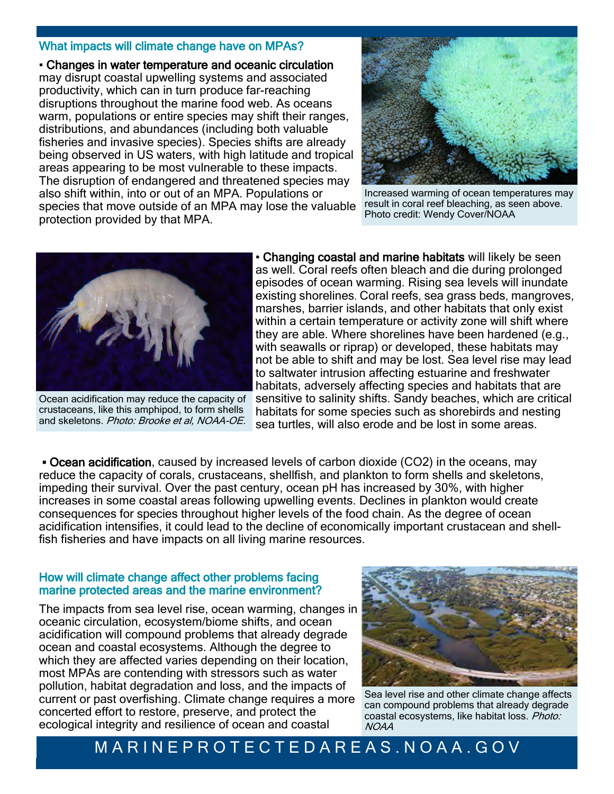#### What impacts will climate change have on MPAs?

▪ Changes in water temperature and oceanic circulation may disrupt coastal upwelling systems and associated productivity, which can in turn produce far-reaching disruptions throughout the marine food web. As oceans warm, populations or entire species may shift their ranges, distributions, and abundances (including both valuable fisheries and invasive species). Species shifts are already being observed in US waters, with high latitude and tropical areas appearing to be most vulnerable to these impacts. The disruption of endangered and threatened species may also shift within, into or out of an MPA. Populations or species that move outside of an MPA may lose the valuable protection provided by that MPA.



Increased warming of ocean temperatures may result in coral reef bleaching, as seen above. Photo credit: Wendy Cover/NOAA



Ocean acidification may reduce the capacity of crustaceans, like this amphipod, to form shells and skeletons. Photo: Brooke et al, NOAA-OE.

**Example 3 Changing coastal and marine habitats will likely be seen** as well. Coral reefs often bleach and die during prolonged episodes of ocean warming. Rising sea levels will inundate existing shorelines. Coral reefs, sea grass beds, mangroves, marshes, barrier islands, and other habitats that only exist within a certain temperature or activity zone will shift where they are able. Where shorelines have been hardened (e.g., with seawalls or riprap) or developed, these habitats may not be able to shift and may be lost. Sea level rise may lead to saltwater intrusion affecting estuarine and freshwater habitats, adversely affecting species and habitats that are sensitive to salinity shifts. Sandy beaches, which are critical habitats for some species such as shorebirds and nesting sea turtles, will also erode and be lost in some areas.

▪ Ocean acidification, caused by increased levels of carbon dioxide (CO2) in the oceans, may reduce the capacity of corals, crustaceans, shellfish, and plankton to form shells and skeletons, impeding their survival. Over the past century, ocean pH has increased by 30%, with higher increases in some coastal areas following upwelling events. Declines in plankton would create consequences for species throughout higher levels of the food chain. As the degree of ocean acidification intensifies, it could lead to the decline of economically important crustacean and shellfish fisheries and have impacts on all living marine resources.

#### How will climate change affect other problems facing marine protected areas and the marine environment?

The impacts from sea level rise, ocean warming, changes in oceanic circulation, ecosystem/biome shifts, and ocean acidification will compound problems that already degrade ocean and coastal ecosystems. Although the degree to which they are affected varies depending on their location, most MPAs are contending with stressors such as water pollution, habitat degradation and loss, and the impacts of current or past overfishing. Climate change requires a more concerted effort to restore, preserve, and protect the ecological integrity and resilience of ocean and coastal



Sea level rise and other climate change affects can compound problems that already degrade coastal ecosystems, like habitat loss. Photo: NOAA

## M A R I N E P R O T E C T E D A R E A S . N O A A . G O V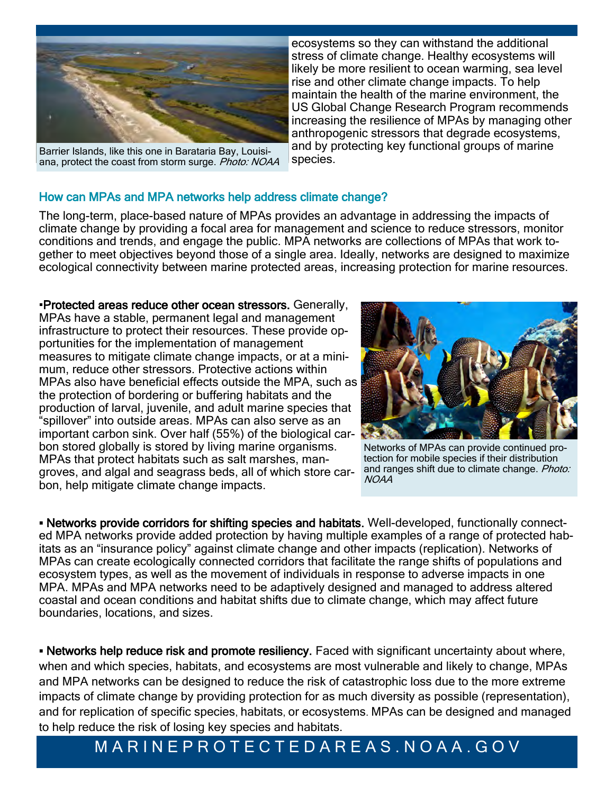

Barrier Islands, like this one in Barataria Bay, Louisiana, protect the coast from storm surge. Photo: NOAA

ecosystems so they can withstand the additional stress of climate change. Healthy ecosystems will likely be more resilient to ocean warming, sea level rise and other climate change impacts. To help maintain the health of the marine environment, the US Global Change Research Program recommends increasing the resilience of MPAs by managing other anthropogenic stressors that degrade ecosystems, and by protecting key functional groups of marine species.

#### How can MPAs and MPA networks help address climate change?

The long-term, place-based nature of MPAs provides an advantage in addressing the impacts of climate change by providing a focal area for management and science to reduce stressors, monitor conditions and trends, and engage the public. MPA networks are collections of MPAs that work together to meet objectives beyond those of a single area. Ideally, networks are designed to maximize ecological connectivity between marine protected areas, increasing protection for marine resources.

▪Protected areas reduce other ocean stressors. Generally, MPAs have a stable, permanent legal and management infrastructure to protect their resources. These provide opportunities for the implementation of management measures to mitigate climate change impacts, or at a minimum, reduce other stressors. Protective actions within MPAs also have beneficial effects outside the MPA, such as the protection of bordering or buffering habitats and the production of larval, juvenile, and adult marine species that "spillover" into outside areas. MPAs can also serve as an important carbon sink. Over half (55%) of the biological carbon stored globally is stored by living marine organisms. MPAs that protect habitats such as salt marshes, mangroves, and algal and seagrass beds, all of which store carbon, help mitigate climate change impacts.



Networks of MPAs can provide continued protection for mobile species if their distribution and ranges shift due to climate change. Photo: NOAA

▪ Networks provide corridors for shifting species and habitats. Well-developed, functionally connected MPA networks provide added protection by having multiple examples of a range of protected habitats as an "insurance policy" against climate change and other impacts (replication). Networks of MPAs can create ecologically connected corridors that facilitate the range shifts of populations and ecosystem types, as well as the movement of individuals in response to adverse impacts in one MPA. MPAs and MPA networks need to be adaptively designed and managed to address altered coastal and ocean conditions and habitat shifts due to climate change, which may affect future boundaries, locations, and sizes.

• Networks help reduce risk and promote resiliency. Faced with significant uncertainty about where, when and which species, habitats, and ecosystems are most vulnerable and likely to change, MPAs and MPA networks can be designed to reduce the risk of catastrophic loss due to the more extreme impacts of climate change by providing protection for as much diversity as possible (representation), and for replication of specific species, habitats, or ecosystems. MPAs can be designed and managed to help reduce the risk of losing key species and habitats.

# M A R I N E P R O T E C T E D A R E A S . N O A A . G O V